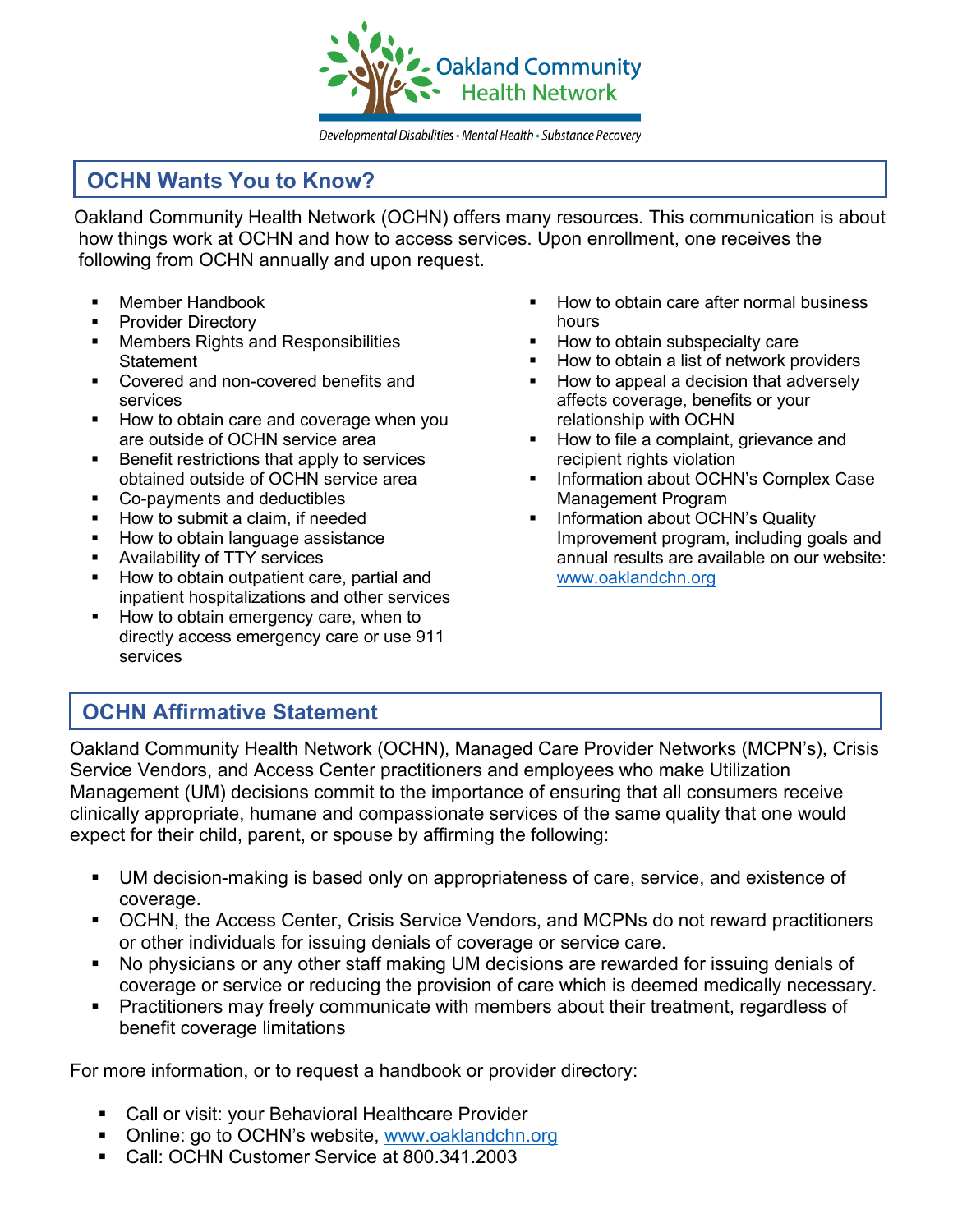

Developmental Disabilities • Mental Health • Substance Recovery

# **OCHN Wants You to Know?**

Oakland Community Health Network (OCHN) offers many resources. This communication is about how things work at OCHN and how to access services. Upon enrollment, one receives the following from OCHN annually and upon request.

- **Member Handbook**
- **Provider Directory**
- **Members Rights and Responsibilities** Statement
- **Covered and non-covered benefits and** services
- How to obtain care and coverage when you are outside of OCHN service area
- **Benefit restrictions that apply to services** obtained outside of OCHN service area
- Co-payments and deductibles
- **How to submit a claim, if needed**
- **How to obtain language assistance**
- Availability of TTY services
- How to obtain outpatient care, partial and inpatient hospitalizations and other services
- How to obtain emergency care, when to directly access emergency care or use 911 services
- How to obtain care after normal business hours
- **How to obtain subspecialty care**
- How to obtain a list of network providers
- How to appeal a decision that adversely affects coverage, benefits or your relationship with OCHN
- How to file a complaint, grievance and recipient rights violation
- **Information about OCHN's Complex Case** Management Program
- **Information about OCHN's Quality** Improvement program, including goals and annual results are available on our website: [www.oaklandchn.org](http://www.oaklandchn.org/)

# **OCHN Affirmative Statement**

Oakland Community Health Network (OCHN), Managed Care Provider Networks (MCPN's), Crisis Service Vendors, and Access Center practitioners and employees who make Utilization Management (UM) decisions commit to the importance of ensuring that all consumers receive clinically appropriate, humane and compassionate services of the same quality that one would expect for their child, parent, or spouse by affirming the following:

- UM decision-making is based only on appropriateness of care, service, and existence of coverage.
- OCHN, the Access Center, Crisis Service Vendors, and MCPNs do not reward practitioners or other individuals for issuing denials of coverage or service care.
- No physicians or any other staff making UM decisions are rewarded for issuing denials of coverage or service or reducing the provision of care which is deemed medically necessary.
- **Practitioners may freely communicate with members about their treatment, regardless of** benefit coverage limitations

For more information, or to request a handbook or provider directory:

- Call or visit: your Behavioral Healthcare Provider
- Online: go to OCHN's website, [www.oaklandchn.org](http://www.oaklandchn.org/)
- Call: OCHN Customer Service at 800.341.2003